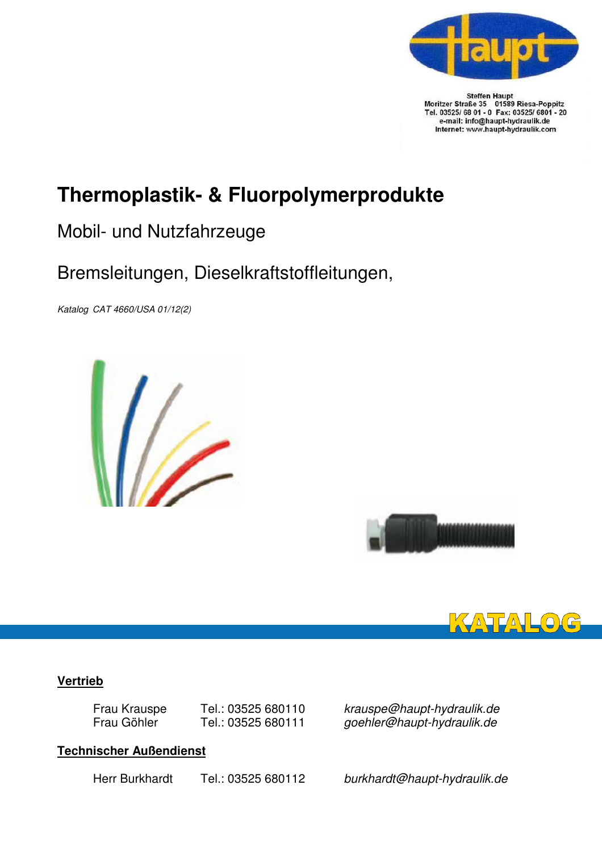

Steffen Haupt<br>Moritzer Straße 35 01589 Riesa-Poppitz<br>Tel. 03525/ 68 01 - 0 Fax: 03525/ 6801 - 20<br>e-mail: info@haupt-hydraulik.de Internet: www.haupt-hydraulik.com

## **Thermoplastik- & Fluorpolymerprodukte**

## Mobil- und Nutzfahrzeuge

## Bremsleitungen, Dieselkraftstoffleitungen,

Katalog CAT 4660/USA 01/12(2)







#### **Vertrieb**

### **Technischer Außendienst**

 Frau Krauspe Tel.: 03525 680110 krauspe@haupt-hydraulik.de Frau Göhler Tel.: 03525 680111 goehler@haupt-hydraulik.de

Herr Burkhardt Tel.: 03525 680112 burkhardt@haupt-hydraulik.de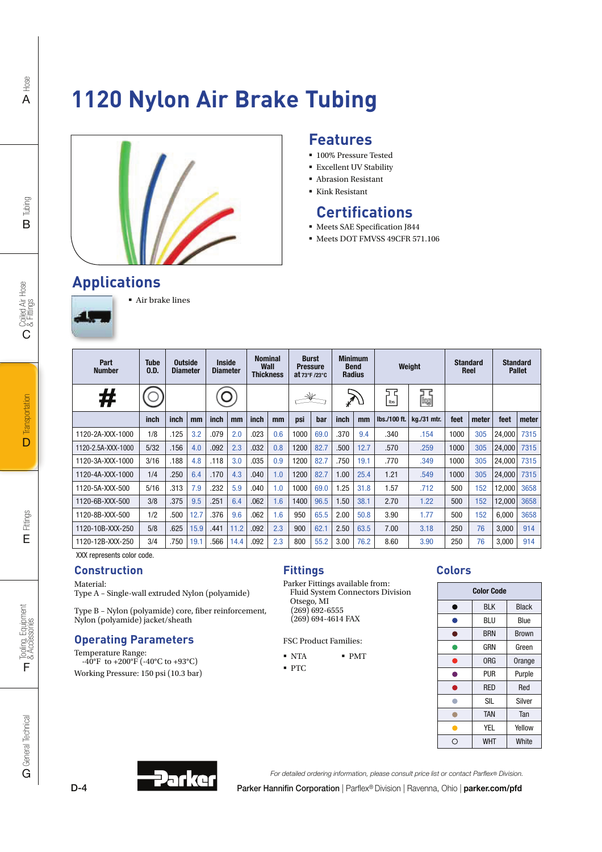# **1120 Nylon Air Brake Tubing**



### **Features**

- **100% Pressure Tested**
- Excellent UV Stability
- Abrasion Resistant
- Kink Resistant

### **Certifications**

- **Meets SAE Specification J844**
- Meets DOT FMVSS 49CFR 571.106

## **Applications**



#### Air brake lines τ

| Part<br><b>Number</b> | <b>Tube</b><br>0.D. | <b>Outside</b><br><b>Diameter</b> |      | <b>Inside</b><br><b>Diameter</b> |      | <b>Nominal</b><br>Wall<br><b>Thickness</b> |     | <b>Burst</b><br><b>Pressure</b><br>at $73^\circ$ F /23 $^\circ$ C |      | <b>Minimum</b><br><b>Bend</b> | <b>Radius</b> | Weight       |             | <b>Standard</b><br>Reel |       | <b>Standard</b><br><b>Pallet</b> |       |
|-----------------------|---------------------|-----------------------------------|------|----------------------------------|------|--------------------------------------------|-----|-------------------------------------------------------------------|------|-------------------------------|---------------|--------------|-------------|-------------------------|-------|----------------------------------|-------|
| #                     |                     |                                   |      |                                  |      |                                            |     |                                                                   |      | $\mathscr{L}$                 |               | 고<br>lbs     | 딚           |                         |       |                                  |       |
|                       | inch                | inch                              | mm   | inch                             | mm   | inch                                       | mm  | psi                                                               | bar  | inch                          | mm            | lbs./100 ft. | kg./31 mtr. | feet                    | meter | feet                             | meter |
| 1120-2A-XXX-1000      | 1/8                 | .125                              | 3.2  | .079                             | 2.0  | .023                                       | 0.6 | 1000                                                              | 69.0 | .370                          | 9.4           | .340         | .154        | 1000                    | 305   | 24.000                           | 7315  |
| 1120-2.5A-XXX-1000    | 5/32                | .156                              | 4.0  | .092                             | 2.3  | .032                                       | 0.8 | 1200                                                              | 82.7 | .500                          | 12.7          | .570         | .259        | 1000                    | 305   | 24,000                           | 7315  |
| 1120-3A-XXX-1000      | 3/16                | .188                              | 4.8  | .118                             | 3.0  | .035                                       | 0.9 | 1200                                                              | 82.7 | .750                          | 19.1          | .770         | .349        | 1000                    | 305   | 24,000                           | 7315  |
| 1120-4A-XXX-1000      | 1/4                 | .250                              | 6.4  | .170                             | 4.3  | .040                                       | 1.0 | 1200                                                              | 82.7 | 1.00                          | 25.4          | 1.21         | .549        | 1000                    | 305   | 24,000                           | 7315  |
| 1120-5A-XXX-500       | 5/16                | .313                              | 7.9  | .232                             | 5.9  | .040                                       | 1.0 | 1000                                                              | 69.0 | 1.25                          | 31.8          | 1.57         | .712        | 500                     | 152   | 12,000                           | 3658  |
| 1120-6B-XXX-500       | 3/8                 | .375                              | 9.5  | .251                             | 6.4  | .062                                       | 1.6 | 1400                                                              | 96.5 | 1.50                          | 38.1          | 2.70         | 1.22        | 500                     | 152   | 12,000                           | 3658  |
| 1120-8B-XXX-500       | 1/2                 | .500                              | 12.7 | .376                             | 9.6  | .062                                       | 1.6 | 950                                                               | 65.5 | 2.00                          | 50.8          | 3.90         | 1.77        | 500                     | 152   | 6,000                            | 3658  |
| 1120-10B-XXX-250      | 5/8                 | .625                              | 15.9 | .441                             | 11.2 | .092                                       | 2.3 | 900                                                               | 62.1 | 2.50                          | 63.5          | 7.00         | 3.18        | 250                     | 76    | 3,000                            | 914   |
| 1120-12B-XXX-250      | 3/4                 | .750                              | 19.1 | .566                             | 14.4 | .092                                       | 2.3 | 800                                                               | 55.2 | 3.00                          | 76.2          | 8.60         | 3.90        | 250                     | 76    | 3,000                            | 914   |

XXX represents color code.

Material: Type A – Single-wall extruded Nylon (polyamide)

Type B – Nylon (polyamide) core, fiber reinforcement, Nylon (polyamide) jacket/sheath

#### **Operating Parameters**

Temperature Range: -40°F to +200°F (-40°C to +93°C) Working Pressure: 150 psi (10.3 bar)

#### **Fittings Construction Colors**

Parker Fittings available from: Fluid System Connectors Division Otsego, MI (269) 692-6555  $(269)$  694-4614 FAX

FSC Product Families:

- NTA  $\blacksquare$  PMT
- PTC

|   | <b>Color Code</b> |              |
|---|-------------------|--------------|
| n | <b>BLK</b>        | <b>Black</b> |
|   | BLU               | Blue         |
|   | <b>BRN</b>        | Brown        |
|   | GRN               | Green        |
| ٠ | 0RG               | Orange       |
| e | pur               | Purple       |
| A | <b>RED</b>        | Red          |
|   | SIL               | Silver       |
|   | <b>TAN</b>        | Tan          |
|   | YEL               | Yellow       |
| ◯ | WHT               | White        |

D-4



For detailed ordering information, please consult price list or contact Parflex® Division.

Parker Hannifin Corporation | Parflex® Division | Ravenna, Ohio | parker.com/pfd

B

Hose A

Tooling, Equipment<br>& Accessories

F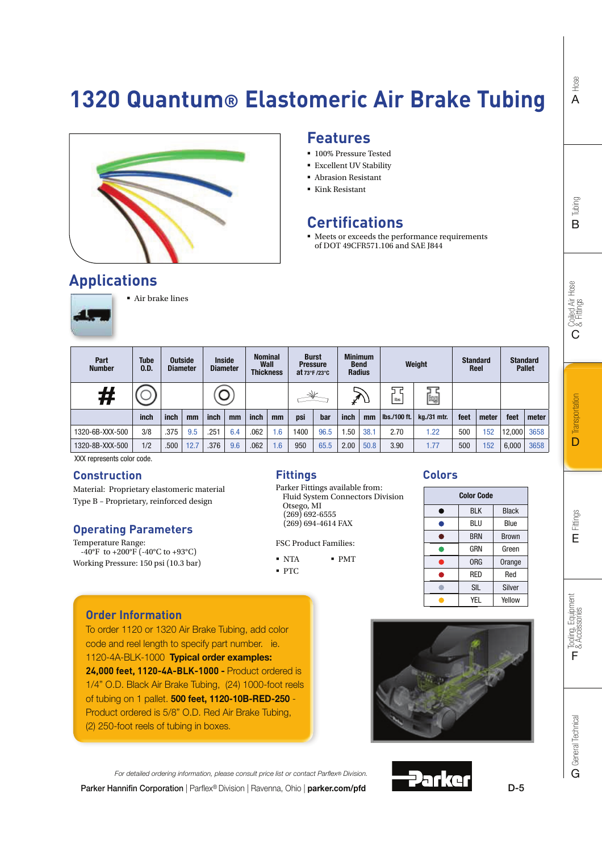# **1320 Quantum® Elastomeric Air Brake Tubing**



#### **Features**

- **100% Pressure Tested**
- Excellent UV Stability
- Abrasion Resistant
- Kink Resistant

### **Certifications**

 $\blacksquare$  Meets or exceeds the performance requirements of DOT 49CFR571.106 and SAE J844

### **Applications**



Air brake lines

| Part<br><b>Number</b> | <b>Tube</b><br>0.D. |      | <b>Outside</b><br><b>Diameter</b> |      | <b>Inside</b><br><b>Diameter</b> | Wall<br><b>Thickness</b> | <b>Nominal</b>  | <b>Burst</b><br><b>Pressure</b><br>at $73^\circ$ F /23 $^\circ$ C |      |      | <b>Minimum</b><br><b>Bend</b><br><b>Radius</b> |                     | Weight      |      | <b>Standard</b><br>Reel |        | <b>Standard</b><br><b>Pallet</b> |
|-----------------------|---------------------|------|-----------------------------------|------|----------------------------------|--------------------------|-----------------|-------------------------------------------------------------------|------|------|------------------------------------------------|---------------------|-------------|------|-------------------------|--------|----------------------------------|
| #                     |                     |      |                                   |      |                                  |                          |                 |                                                                   |      |      |                                                | lbs                 | [bg         |      |                         |        |                                  |
|                       | inch                | inch | mm                                | inch | mm                               | inch                     | mm              | psi                                                               | bar  | inch | mm                                             | <b>Ibs./100 ft.</b> | kg./31 mtr. | feet | meter                   | feet   | meter                            |
| 1320-6B-XXX-500       | 3/8                 | .375 | 9.5                               | .251 | 6.4                              | .062                     | $.6\,$          | 1400                                                              | 96.5 | .50  | 38.1                                           | 2.70                | 1.22        | 500  | 152                     | 12,000 | 3658                             |
| 1320-8B-XXX-500       | 1/2                 | .500 | 12.7                              | .376 | 9.6                              | .062                     | .6 <sub>1</sub> | 950                                                               | 65.5 | 2.00 | 50.8                                           | 3.90                | 1.77        | 500  | 152                     | 6,000  | 3658                             |

XXX represents color code.

#### **Construction**

Material: Proprietary elastomeric material Type B – Proprietary, reinforced design

#### **Operating Parameters**

Temperature Range:  $-40^{\circ}$ F to  $+200^{\circ}$ F ( $-40^{\circ}$ C to  $+93^{\circ}$ C) Working Pressure: 150 psi (10.3 bar)

#### **Fittings**

Parker Fittings available from: Fluid System Connectors Division Otsego, MI (269) 692-6555 (269) 694-4614 FAX

FSC Product Families:

- $\blacksquare$  NTA PMT
- · PTC

#### **Colors**



#### **Order Information**

To order 1120 or 1320 Air Brake Tubing, add color code and reel length to specify part number. ie. 1120-4A-BLK-1000 Typical order examples: **24,000 feet, 1120-4A-BLK-1000 -** Product ordered is 1/4" O.D. Black Air Brake Tubing, (24) 1000-foot reels of tubing on 1 pallet. 500 feet, 1120-10B-RED-250 - Product ordered is 5/8" O.D. Red Air Brake Tubing, (2) 250-foot reels of tubing in boxes.



For detailed ordering information, please consult price list or contact Parflex® Division. 2arke Parker Hannifin Corporation | Parflex® Division | Ravenna, Ohio | parker.com/pfd

Hose A

Tooling, Equipment<br>& Accessories

F

D-5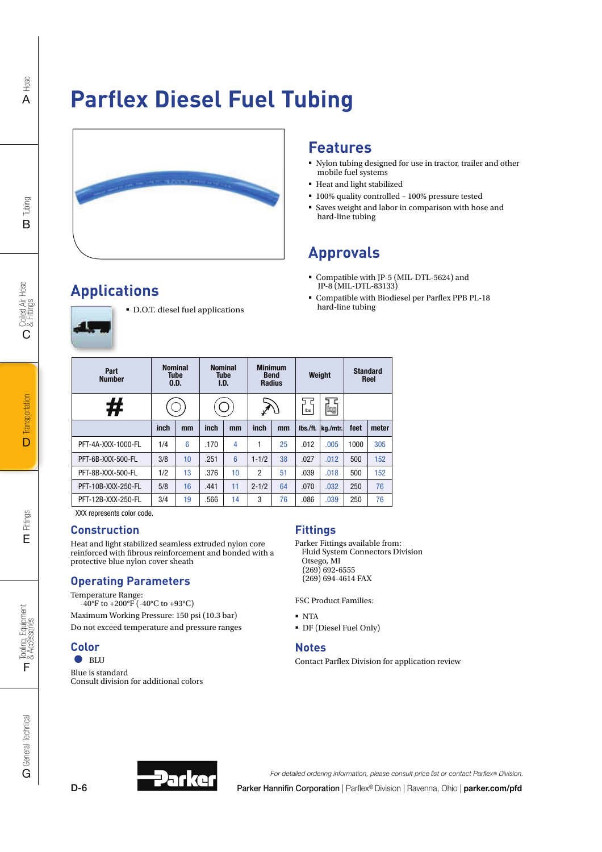# **Parflex Diesel Fuel Tubing**



### **Features**

- Nylon tubing designed for use in tractor, trailer and other mobile fuel systems
- Heat and light stabilized
- 100% quality controlled 100% pressure tested
- Saves weight and labor in comparison with hose and hard-line tubing

## **Approvals**

- Compatible with JP-5 (MIL-DTL-5624) and JP-8 (MIL-DTL-83133)
- Compatible with Biodiesel per Parflex PPB PL-18 hard-line tubing

| Part<br><b>Number</b> | <b>Nominal</b><br><b>Tube</b><br>0.D. | <b>Nominal</b><br><b>Tube</b><br>I.D. | N |
|-----------------------|---------------------------------------|---------------------------------------|---|
|                       |                                       |                                       |   |

D.O.T. diesel fuel applications

| Part<br><b>Number</b> | <b>Nominal</b> | Tube<br>0.D. | <b>Nominal</b> | <b>Tube</b><br>I.D. |                | <b>Minimum</b><br><b>Bend</b><br><b>Radius</b> |          | Weight   |      | <b>Standard</b><br>Reel |
|-----------------------|----------------|--------------|----------------|---------------------|----------------|------------------------------------------------|----------|----------|------|-------------------------|
| #                     |                |              |                |                     |                |                                                | d<br>lbs | [bg      |      |                         |
|                       | inch           | mm           | inch           | mm                  | inch           | mm                                             | lbs./ft. | kg./mtr. | feet | meter                   |
| PFT-4A-XXX-1000-FL    | 1/4            | 6            | .170           | 4                   | 1              | 25                                             | .012     | .005     | 1000 | 305                     |
| PFT-6B-XXX-500-FL     | 3/8            | 10           | .251           | $6\phantom{1}6$     | $1 - 1/2$      | 38                                             | .027     | .012     | 500  | 152                     |
| PFT-8B-XXX-500-FL     | 1/2            | 13           | .376           | 10                  | $\overline{2}$ | 51                                             | .039     | .018     | 500  | 152                     |
| PFT-10B-XXX-250-FL    | 5/8            | 16           | .441           | 11                  | $2 - 1/2$      | 64                                             | .070     | .032     | 250  | 76                      |
| PFT-12B-XXX-250-FL    | 3/4            | 19           | .566           | 14                  | 3              | 76                                             | .086     | .039     | 250  | 76                      |

XXX represents color code.

**Applications**

#### **Construction**

Heat and light stabilized seamless extruded nylon core reinforced with fibrous reinforcement and bonded with a protective blue nylon cover sheath

#### **Operating Parameters**

Temperature Range:

 $-40^{\circ}$ F to  $+200^{\circ}$ F ( $-40^{\circ}$ C to  $+93^{\circ}$ C) Maximum Working Pressure: 150 psi (10.3 bar)

Do not exceed temperature and pressure ranges

#### **Color**

 $\bullet$  BLU Blue is standard Consult division for additional colors

#### **Fittings**

Parker Fittings available from: Fluid System Connectors Division Otsego, MI  $(269)$  692-6555 (269) 694-4614 FAX

FSC Product Families:

- NTA
- DF (Diesel Fuel Only)

#### **Notes**

Contact Parflex Division for application review





Parker Hannifin Corporation | Parflex® Division | Ravenna, Ohio | parker.com/pfd For detailed ordering information, please consult price list or contact Parflex® Division.

Tubing B

Hose A

Tooling, Equipment<br>& Accessories

F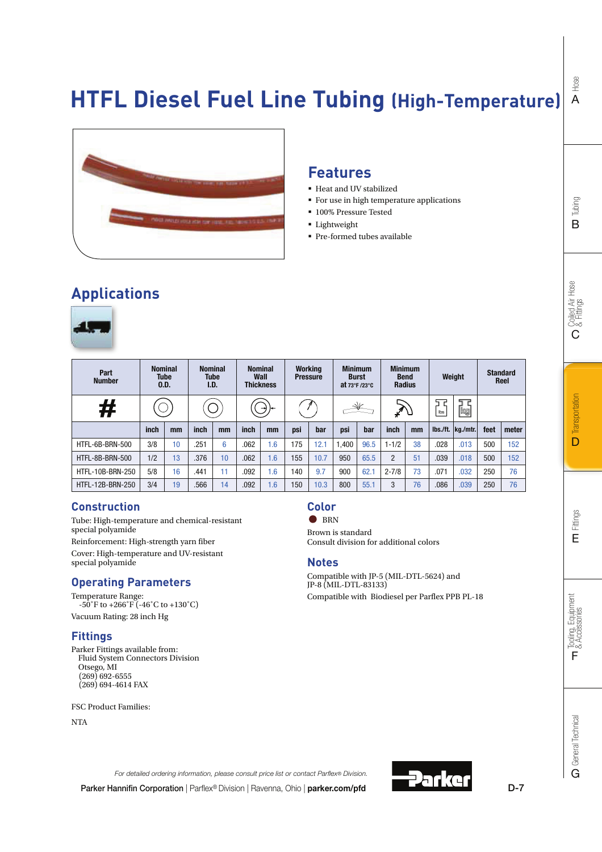## **HTFL Diesel Fuel Line Tubing (High-Temperature)**



### **Features**

- Heat and UV stabilized
- **For use in high temperature applications**
- **100% Pressure Tested**
- **Lightweight**
- Pre-formed tubes available

### **Applications**



| Part<br><b>Number</b> | 0.D. | <b>Nominal</b><br><b>Tube</b> | <b>Nominal</b><br>I.D. | <b>Tube</b> |      | <b>Nominal</b><br>Wall<br><b>Thickness</b> | Working | <b>Pressure</b> | at $73^\circ$ F /23 $^\circ$ C | <b>Minimum</b><br><b>Burst</b> |                | <b>Minimum</b><br><b>Bend</b><br><b>Radius</b> |      | Weight                            | <b>Standard</b><br>Reel |       |
|-----------------------|------|-------------------------------|------------------------|-------------|------|--------------------------------------------|---------|-----------------|--------------------------------|--------------------------------|----------------|------------------------------------------------|------|-----------------------------------|-------------------------|-------|
| #                     |      |                               |                        |             |      |                                            |         |                 |                                |                                |                |                                                | lbs  | kg                                |                         |       |
|                       | inch | mm                            | inch                   | mm          | inch | mm                                         | psi     | bar             | psi                            | bar                            | inch           | mm                                             |      | $\vert$ lbs./ft. $\vert$ kg./mtr. | feet                    | meter |
| HTFL-6B-BRN-500       | 3/8  | 10                            | .251                   | 6           | .062 | 1.6                                        | 175     | 12.1            | 1.400                          | 96.5                           | $1 - 1/2$      | 38                                             | .028 | .013                              | 500                     | 152   |
| HTFL-8B-BRN-500       | 1/2  | 13                            | .376                   | 10          | .062 | 1.6                                        | 155     | 10.7            | 950                            | 65.5                           | $\overline{2}$ | 51                                             | .039 | .018                              | 500                     | 152   |
| HTFL-10B-BRN-250      | 5/8  | 16                            | .441                   | 11          | .092 | 6.6                                        | 140     | 9.7             | 900                            | 62.1                           | $2 - 7/8$      | 73                                             | .071 | .032                              | 250                     | 76    |
| HTFL-12B-BRN-250      | 3/4  | 19                            | .566                   | 14          | .092 | 1.6                                        | 150     | 10.3            | 800                            | 55.1                           | 3              | 76                                             | .086 | .039                              | 250                     | 76    |

#### **Construction**

Tube: High-temperature and chemical-resistant special polyamide Reinforcement: High-strength yarn fiber Cover: High-temperature and UV-resistant special polyamide

#### **Operating Parameters**

Temperature Range:  $-50^\circ$ F to  $+266^\circ$ F ( $-46^\circ$ C to  $+130^\circ$ C) Vacuum Rating: 28 inch Hg

#### **Fittings**

Parker Fittings available from: Fluid System Connectors Division Otsego, MI (269) 692-6555 (269) 694-4614 FAX

FSC Product Families:

NTA



 $\bullet$  BRN

Brown is standard Consult division for additional colors

#### **Notes**

Compatible with JP-5 (MIL-DTL-5624) and JP-8 (MIL-DTL-83133) Compatible with Biodiesel per Parflex PPB PL-18

Hose A

D-7

For detailed ordering information, please consult price list or contact Parflex® Division.

Parker Hannifin Corporation | Parflex® Division | Ravenna, Ohio | parker.com/pfd

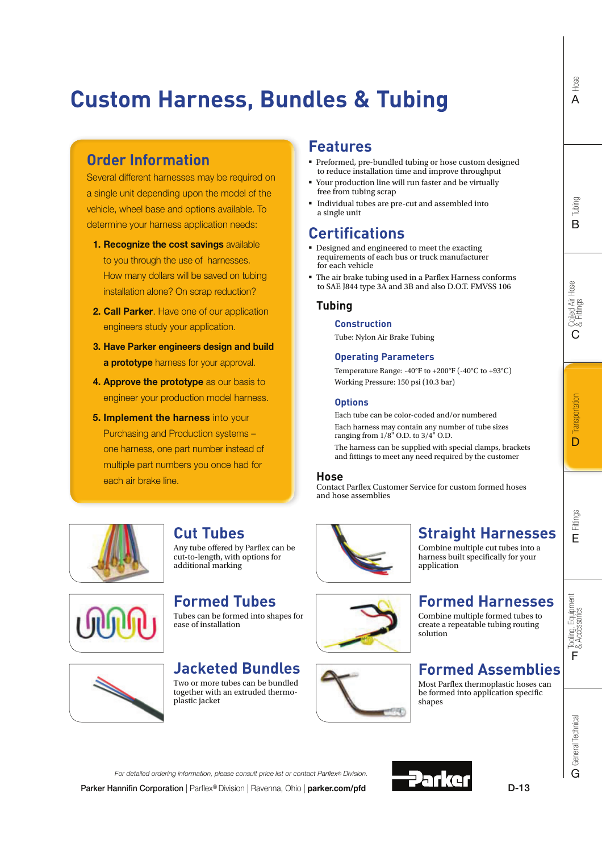# **Custom Harness, Bundles & Tubing**

### **Order Information**

Several different harnesses may be required on a single unit depending upon the model of the vehicle, wheel base and options available. To determine your harness application needs:

- 1. Recognize the cost savings available to you through the use of harnesses. How many dollars will be saved on tubing installation alone? On scrap reduction?
- 2. Call Parker. Have one of our application engineers study your application.
- 3. Have Parker engineers design and build **a prototype** harness for your approval.
- 4. Approve the prototype as our basis to engineer your production model harness.
- **5. Implement the harness into your** Purchasing and Production systems – one harness, one part number instead of multiple part numbers you once had for each air brake line.

### **Features**

- Preformed, pre-bundled tubing or hose custom designed to reduce installation time and improve throughput
- Your production line will run faster and be virtually free from tubing scrap
- Individual tubes are pre-cut and assembled into a single unit

### **Certifications**

- Designed and engineered to meet the exacting requirements of each bus or truck manufacturer for each vehicle
- The air brake tubing used in a Parflex Harness conforms to SAE J844 type 3A and 3B and also D.O.T. FMVSS 106

#### **Tubing**

#### **Construction**

Tube: Nylon Air Brake Tubing

#### **Operating Parameters**

Temperature Range: -40°F to +200°F (-40°C to +93°C) Working Pressure: 150 psi (10.3 bar)

#### **Options**

Each tube can be color-coded and/or numbered Each harness may contain any number of tube sizes ranging from  $1/8$ <sup>"</sup> O.D. to  $3/4$ <sup>"</sup> O.D. The harness can be supplied with special clamps, brackets

and fittings to meet any need required by the customer

application

#### **Hose**

Contact Parflex Customer Service for custom formed hoses and hose assemblies



### **Cut Tubes**

Any tube offered by Parflex can be cut-to-length, with options for additional marking



### **Formed Tubes**

Tubes can be formed into shapes for ease of installation

### **Jacketed Bundles**

Two or more tubes can be bundled together with an extruded thermoplastic jacket

For detailed ordering information, please consult price list or contact Parflex® Division.



## **Formed Harnesses**

**Straight Harnesses** Combine multiple cut tubes into a harness built specifically for your

Combine multiple formed tubes to create a repeatable tubing routing solution

### **Formed Assemblies**

Most Parflex thermoplastic hoses can be formed into application specific shapes

Hose A

Tubing B

Coiled Air Hose<br>& Fittings

C

Parker Hannifin Corporation | Parflex® Division | Ravenna, Ohio | parker.com/pfd

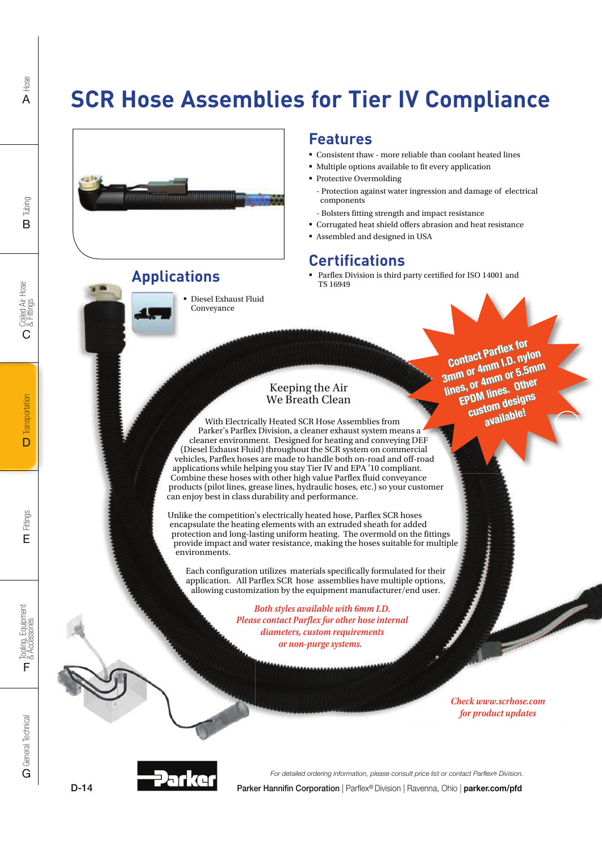# **SCR Hose Assemblies for Tier IV Compliance**



### **Applications**



 Diesel Exhaust Fluid Conveyance

#### **Features**

- $\bullet\,$  Consistent thaw more reliable than coolant heated lines
- Multiple options available to fit every application
- Protective Overmolding
- Protection against water ingression and damage of electrical components
- Bolsters fitting strength and impact resistance
- Corrugated heat shield offers abrasion and heat resistance
- Assembled and designed in USA

### **Certifications**

 Parflex Division is third party certified for ISO 14001 and TS 16949

> Contact Parflex for<br>
> ann or 4nnm 1.D. nyl<br>
> ann or 4nnm or 5.5r<br>
> lines, or 4nnm or 5.5r<br>
> lines, or 4nnm or 5.5r<br>
> lines, or 4nnm or 5.5r<br>
> EPDM lines.<br>
> custom design<br>
> custom design<br>
> custom design<br>
> available!<br>
> available!<br>
> merc Contact Partlex for<br>3mm or 4mm I.D. nylon amm or 4mm or 5.5mm<br>3mm or 4mm or 5.5mm<br>Jines, or 4mm or 0ther EPDM lines. Other custom designs available!

#### Keeping the Air We Breath Clean

With Electrically Heated SCR Hose Assemblies from Parker's Parflex Division, a cleaner exhaust system means a cleaner environment. Designed for heating and conveying DEF (Diesel Exhaust Fluid) throughout the SCR system on commercial vehicles, Parflex hoses are made to handle both on-road and off-road applications while helping you stay Tier IV and EPA '10 compliant. Combine these hoses with other high value Parflex fluid conveyance products (pilot lines, grease lines, hydraulic hoses, etc.) so your customer can enjoy best in class durability and performance.

Unlike the competition's electrically heated hose, Parflex SCR hoses encapsulate the heating elements with an extruded sheath for added protection and long-lasting uniform heating. The overmold on the fittings provide impact and water resistance, making the hoses suitable for multiple environments.

Each configuration utilizes materials specifically formulated for their application. All Parflex SCR hose assemblies have multiple options, allowing customization by the equipment manufacturer/end user.

> **Both styles available with 6mm I.D. Bo Please contact Parflex for other hose internal Pleasdiameters, custom requirements or non-purge systems.**

> > **Check www.scrhose.com for product updates**

General Technical **C** General Technical

D-14



Parker Hannifin Corporation | Parflex® Division | Ravenna, Ohio | parker.com/pfd For detailed ordering information, please consult price list or contact Parflex® Division.